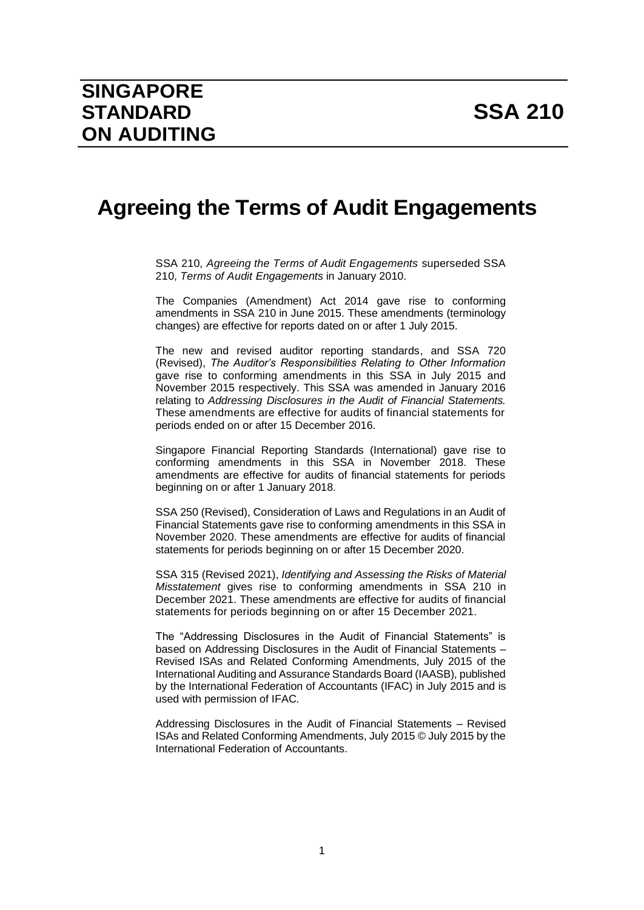# **Agreeing the Terms of Audit Engagements**

SSA 210, *Agreeing the Terms of Audit Engagements* superseded SSA 210, *Terms of Audit Engagements* in January 2010.

The Companies (Amendment) Act 2014 gave rise to conforming amendments in SSA 210 in June 2015. These amendments (terminology changes) are effective for reports dated on or after 1 July 2015.

The new and revised auditor reporting standards, and SSA 720 (Revised), *The Auditor's Responsibilities Relating to Other Information* gave rise to conforming amendments in this SSA in July 2015 and November 2015 respectively. This SSA was amended in January 2016 relating to *Addressing Disclosures in the Audit of Financial Statements.*  These amendments are effective for audits of financial statements for periods ended on or after 15 December 2016.

Singapore Financial Reporting Standards (International) gave rise to conforming amendments in this SSA in November 2018. These amendments are effective for audits of financial statements for periods beginning on or after 1 January 2018.

SSA 250 (Revised), Consideration of Laws and Regulations in an Audit of Financial Statements gave rise to conforming amendments in this SSA in November 2020. These amendments are effective for audits of financial statements for periods beginning on or after 15 December 2020.

SSA 315 (Revised 2021), *Identifying and Assessing the Risks of Material Misstatement* gives rise to conforming amendments in SSA 210 in December 2021. These amendments are effective for audits of financial statements for periods beginning on or after 15 December 2021.

The "Addressing Disclosures in the Audit of Financial Statements" is based on Addressing Disclosures in the Audit of Financial Statements – Revised ISAs and Related Conforming Amendments, July 2015 of the International Auditing and Assurance Standards Board (IAASB), published by the International Federation of Accountants (IFAC) in July 2015 and is used with permission of IFAC.

Addressing Disclosures in the Audit of Financial Statements – Revised ISAs and Related Conforming Amendments, July 2015 © July 2015 by the International Federation of Accountants.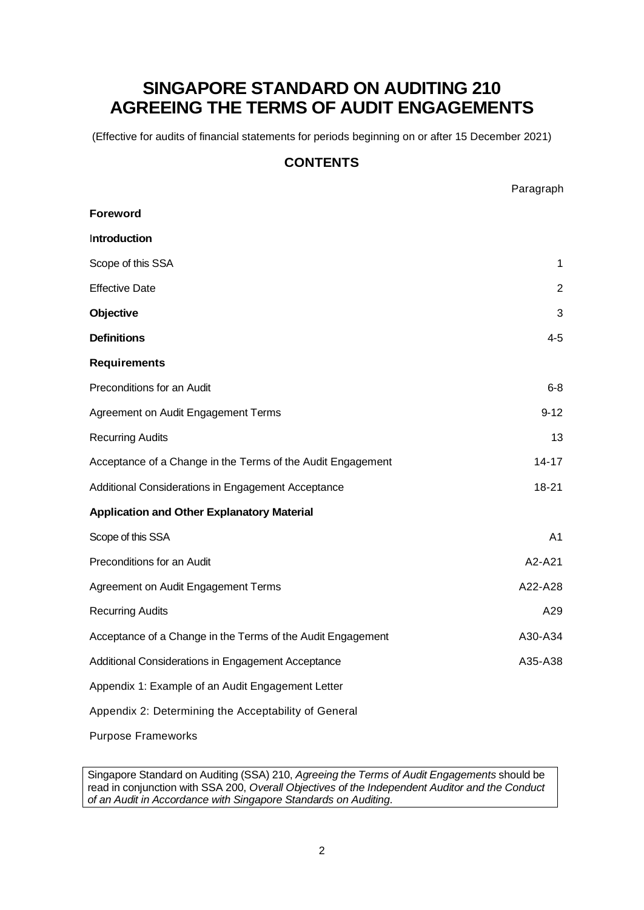# **SINGAPORE STANDARD ON AUDITING 210 AGREEING THE TERMS OF AUDIT ENGAGEMENTS**

(Effective for audits of financial statements for periods beginning on or after 15 December 2021)

# **CONTENTS**

Paragraph

| <b>Foreword</b>                                             |                |
|-------------------------------------------------------------|----------------|
| Introduction                                                |                |
| Scope of this SSA                                           | 1              |
| <b>Effective Date</b>                                       | $\overline{2}$ |
| Objective                                                   | 3              |
| <b>Definitions</b>                                          | $4 - 5$        |
| <b>Requirements</b>                                         |                |
| Preconditions for an Audit                                  | $6 - 8$        |
| Agreement on Audit Engagement Terms                         | $9 - 12$       |
| <b>Recurring Audits</b>                                     | 13             |
| Acceptance of a Change in the Terms of the Audit Engagement | $14 - 17$      |
| Additional Considerations in Engagement Acceptance          | $18 - 21$      |
| <b>Application and Other Explanatory Material</b>           |                |
| Scope of this SSA                                           | A1             |
| Preconditions for an Audit                                  | A2-A21         |
| Agreement on Audit Engagement Terms                         | A22-A28        |
| <b>Recurring Audits</b>                                     | A29            |
| Acceptance of a Change in the Terms of the Audit Engagement | A30-A34        |
| Additional Considerations in Engagement Acceptance          | A35-A38        |
| Appendix 1: Example of an Audit Engagement Letter           |                |
| Appendix 2: Determining the Acceptability of General        |                |
| <b>Purpose Frameworks</b>                                   |                |

Singapore Standard on Auditing (SSA) 210, *Agreeing the Terms of Audit Engagements* should be read in conjunction with SSA 200, *Overall Objectives of the Independent Auditor and the Conduct of an Audit in Accordance with Singapore Standards on Auditing*.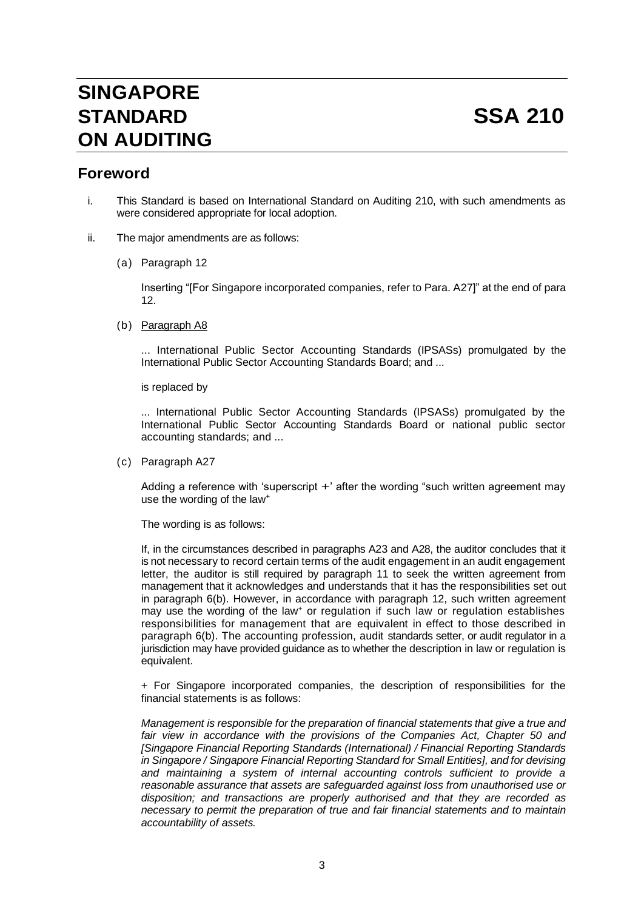# **SINGAPORE STANDARD SSA 210 ON AUDITING**

# **Foreword**

- i. This Standard is based on International Standard on Auditing 210, with such amendments as were considered appropriate for local adoption.
- ii. The major amendments are as follows:
	- (a) Paragraph 12

Inserting "[For Singapore incorporated companies, refer to Para. A27]" at the end of para 12.

(b) Paragraph A8

... International Public Sector Accounting Standards (IPSASs) promulgated by the International Public Sector Accounting Standards Board; and ...

is replaced by

... International Public Sector Accounting Standards (IPSASs) promulgated by the International Public Sector Accounting Standards Board or national public sector accounting standards; and ...

(c) Paragraph A27

Adding a reference with 'superscript  $+$ ' after the wording "such written agreement may use the wording of the law<sup>+</sup>

The wording is as follows:

If, in the circumstances described in paragraphs A23 and A28, the auditor concludes that it is not necessary to record certain terms of the audit engagement in an audit engagement letter, the auditor is still required by paragraph 11 to seek the written agreement from management that it acknowledges and understands that it has the responsibilities set out in paragraph 6(b). However, in accordance with paragraph 12, such written agreement may use the wording of the law<sup>+</sup> or regulation if such law or regulation establishes responsibilities for management that are equivalent in effect to those described in paragraph 6(b). The accounting profession, audit standards setter, or audit regulator in a jurisdiction may have provided guidance as to whether the description in law or regulation is equivalent.

+ For Singapore incorporated companies, the description of responsibilities for the financial statements is as follows:

*Management is responsible for the preparation of financial statements that give a true and*  fair view in accordance with the provisions of the Companies Act, Chapter 50 and *[Singapore Financial Reporting Standards (International) / Financial Reporting Standards in Singapore / Singapore Financial Reporting Standard for Small Entities], and for devising*  and maintaining a system of internal accounting controls sufficient to provide a *reasonable assurance that assets are safeguarded against loss from unauthorised use or disposition; and transactions are properly authorised and that they are recorded as necessary to permit the preparation of true and fair financial statements and to maintain accountability of assets.*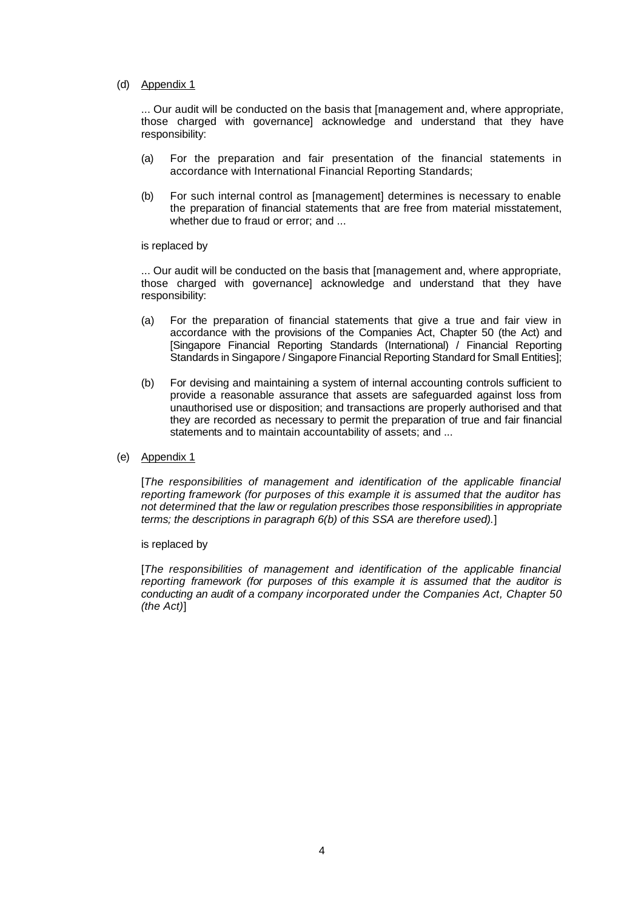#### (d) Appendix 1

... Our audit will be conducted on the basis that [management and, where appropriate, those charged with governance] acknowledge and understand that they have responsibility:

- (a) For the preparation and fair presentation of the financial statements in accordance with International Financial Reporting Standards;
- (b) For such internal control as [management] determines is necessary to enable the preparation of financial statements that are free from material misstatement, whether due to fraud or error; and ...

#### is replaced by

... Our audit will be conducted on the basis that [management and, where appropriate, those charged with governance] acknowledge and understand that they have responsibility:

- (a) For the preparation of financial statements that give a true and fair view in accordance with the provisions of the Companies Act, Chapter 50 (the Act) and [Singapore Financial Reporting Standards (International) / Financial Reporting Standards in Singapore / Singapore Financial Reporting Standard for Small Entities];
- (b) For devising and maintaining a system of internal accounting controls sufficient to provide a reasonable assurance that assets are safeguarded against loss from unauthorised use or disposition; and transactions are properly authorised and that they are recorded as necessary to permit the preparation of true and fair financial statements and to maintain accountability of assets; and ...
- (e) Appendix 1

[*The responsibilities of management and identification of the applicable financial reporting framework (for purposes of this example it is assumed that the auditor has not determined that the law or regulation prescribes those responsibilities in appropriate terms; the descriptions in paragraph 6(b) of this SSA are therefore used).*]

#### is replaced by

[*The responsibilities of management and identification of the applicable financial reporting framework (for purposes of this example it is assumed that the auditor is conducting an audit of a company incorporated under the Companies Act, Chapter 50 (the Act)*]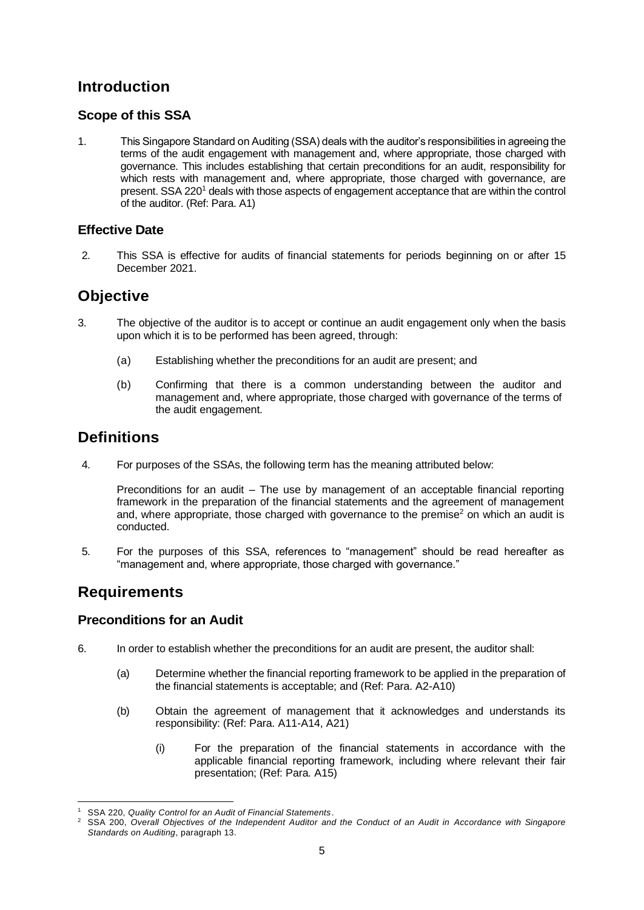# **Introduction**

# **Scope of this SSA**

1. This Singapore Standard on Auditing (SSA) deals with the auditor's responsibilities in agreeing the terms of the audit engagement with management and, where appropriate, those charged with governance. This includes establishing that certain preconditions for an audit, responsibility for which rests with management and, where appropriate, those charged with governance, are present. SSA 220<sup>1</sup> deals with those aspects of engagement acceptance that are within the control of the auditor. (Ref: Para. A1)

## **Effective Date**

2. This SSA is effective for audits of financial statements for periods beginning on or after 15 December 2021.

# **Objective**

- 3. The objective of the auditor is to accept or continue an audit engagement only when the basis upon which it is to be performed has been agreed, through:
	- (a) Establishing whether the preconditions for an audit are present; and
	- (b) Confirming that there is a common understanding between the auditor and management and, where appropriate, those charged with governance of the terms of the audit engagement.

# **Definitions**

4. For purposes of the SSAs, the following term has the meaning attributed below:

Preconditions for an audit – The use by management of an acceptable financial reporting framework in the preparation of the financial statements and the agreement of management and, where appropriate, those charged with governance to the premise<sup>2</sup> on which an audit is conducted.

5. For the purposes of this SSA, references to "management" should be read hereafter as "management and, where appropriate, those charged with governance."

# **Requirements**

# **Preconditions for an Audit**

- 6. In order to establish whether the preconditions for an audit are present, the auditor shall:
	- (a) Determine whether the financial reporting framework to be applied in the preparation of the financial statements is acceptable; and (Ref: Para. A2-A10)
	- (b) Obtain the agreement of management that it acknowledges and understands its responsibility: (Ref: Para. A11-A14, A21)
		- (i) For the preparation of the financial statements in accordance with the applicable financial reporting framework, including where relevant their fair presentation; (Ref: Para. A15)

<sup>1</sup> SSA 220, *Quality Control for an Audit of Financial Statements*.

<sup>2</sup> SSA 200, *Overall Objectives of the Independent Auditor and the Conduct of an Audit in Accordance with Singapore Standards on Auditing*, paragraph 13.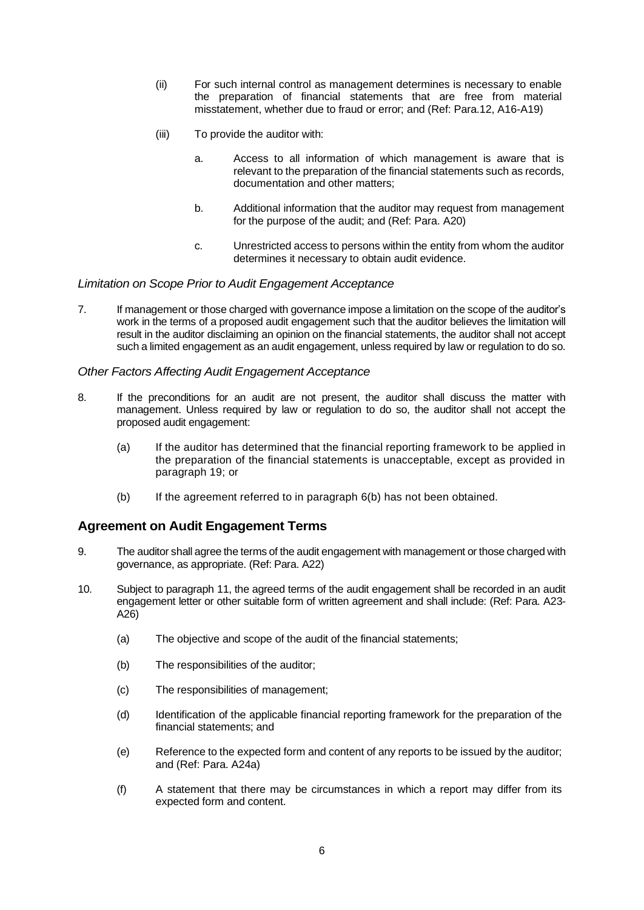- (ii) For such internal control as management determines is necessary to enable the preparation of financial statements that are free from material misstatement, whether due to fraud or error; and (Ref: Para.12, A16-A19)
- (iii) To provide the auditor with:
	- a. Access to all information of which management is aware that is relevant to the preparation of the financial statements such as records, documentation and other matters;
	- b. Additional information that the auditor may request from management for the purpose of the audit; and (Ref: Para. A20)
	- c. Unrestricted access to persons within the entity from whom the auditor determines it necessary to obtain audit evidence.

### *Limitation on Scope Prior to Audit Engagement Acceptance*

7. If management or those charged with governance impose a limitation on the scope of the auditor's work in the terms of a proposed audit engagement such that the auditor believes the limitation will result in the auditor disclaiming an opinion on the financial statements, the auditor shall not accept such a limited engagement as an audit engagement, unless required by law or regulation to do so.

#### *Other Factors Affecting Audit Engagement Acceptance*

- 8. If the preconditions for an audit are not present, the auditor shall discuss the matter with management. Unless required by law or regulation to do so, the auditor shall not accept the proposed audit engagement:
	- (a) If the auditor has determined that the financial reporting framework to be applied in the preparation of the financial statements is unacceptable, except as provided in paragraph 19; or
	- (b) If the agreement referred to in paragraph 6(b) has not been obtained.

### **Agreement on Audit Engagement Terms**

- 9. The auditor shall agree the terms of the audit engagement with management or those charged with governance, as appropriate. (Ref: Para. A22)
- 10. Subject to paragraph 11, the agreed terms of the audit engagement shall be recorded in an audit engagement letter or other suitable form of written agreement and shall include: (Ref: Para. A23- A26)
	- (a) The objective and scope of the audit of the financial statements;
	- (b) The responsibilities of the auditor;
	- (c) The responsibilities of management;
	- (d) Identification of the applicable financial reporting framework for the preparation of the financial statements; and
	- (e) Reference to the expected form and content of any reports to be issued by the auditor; and (Ref: Para. A24a)
	- (f) A statement that there may be circumstances in which a report may differ from its expected form and content.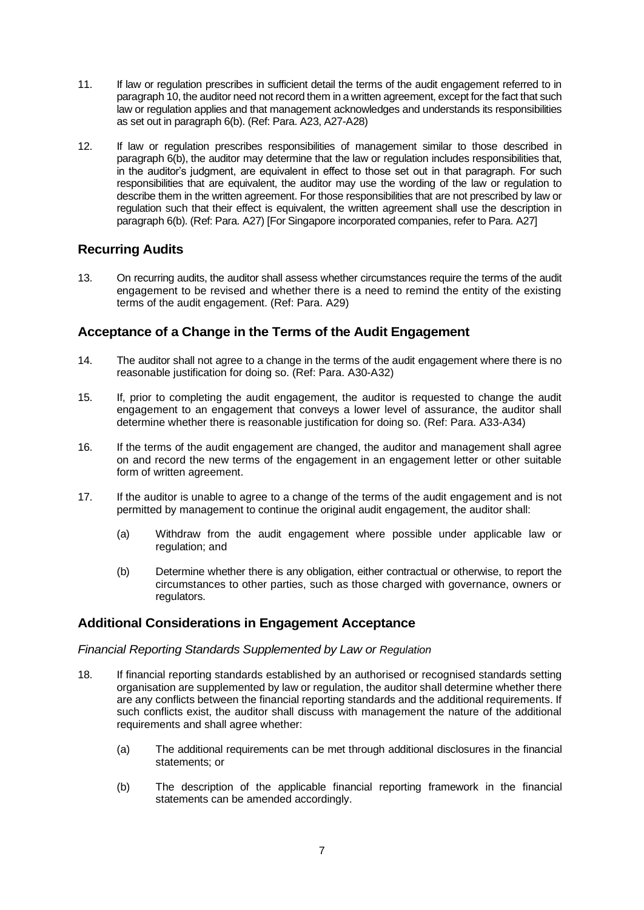- 11. If law or regulation prescribes in sufficient detail the terms of the audit engagement referred to in paragraph 10, the auditor need not record them in a written agreement, except for the fact that such law or regulation applies and that management acknowledges and understands its responsibilities as set out in paragraph 6(b). (Ref: Para. A23, A27-A28)
- 12. If law or regulation prescribes responsibilities of management similar to those described in paragraph 6(b), the auditor may determine that the law or regulation includes responsibilities that, in the auditor's judgment, are equivalent in effect to those set out in that paragraph. For such responsibilities that are equivalent, the auditor may use the wording of the law or regulation to describe them in the written agreement. For those responsibilities that are not prescribed by law or regulation such that their effect is equivalent, the written agreement shall use the description in paragraph 6(b). (Ref: Para. A27) [For Singapore incorporated companies, refer to Para. A27]

# **Recurring Audits**

13. On recurring audits, the auditor shall assess whether circumstances require the terms of the audit engagement to be revised and whether there is a need to remind the entity of the existing terms of the audit engagement. (Ref: Para. A29)

# **Acceptance of a Change in the Terms of the Audit Engagement**

- 14. The auditor shall not agree to a change in the terms of the audit engagement where there is no reasonable justification for doing so. (Ref: Para. A30-A32)
- 15. If, prior to completing the audit engagement, the auditor is requested to change the audit engagement to an engagement that conveys a lower level of assurance, the auditor shall determine whether there is reasonable justification for doing so. (Ref: Para. A33-A34)
- 16. If the terms of the audit engagement are changed, the auditor and management shall agree on and record the new terms of the engagement in an engagement letter or other suitable form of written agreement.
- 17. If the auditor is unable to agree to a change of the terms of the audit engagement and is not permitted by management to continue the original audit engagement, the auditor shall:
	- (a) Withdraw from the audit engagement where possible under applicable law or regulation; and
	- (b) Determine whether there is any obligation, either contractual or otherwise, to report the circumstances to other parties, such as those charged with governance, owners or regulators.

# **Additional Considerations in Engagement Acceptance**

### *Financial Reporting Standards Supplemented by Law or Regulation*

- 18. If financial reporting standards established by an authorised or recognised standards setting organisation are supplemented by law or regulation, the auditor shall determine whether there are any conflicts between the financial reporting standards and the additional requirements. If such conflicts exist, the auditor shall discuss with management the nature of the additional requirements and shall agree whether:
	- (a) The additional requirements can be met through additional disclosures in the financial statements; or
	- (b) The description of the applicable financial reporting framework in the financial statements can be amended accordingly.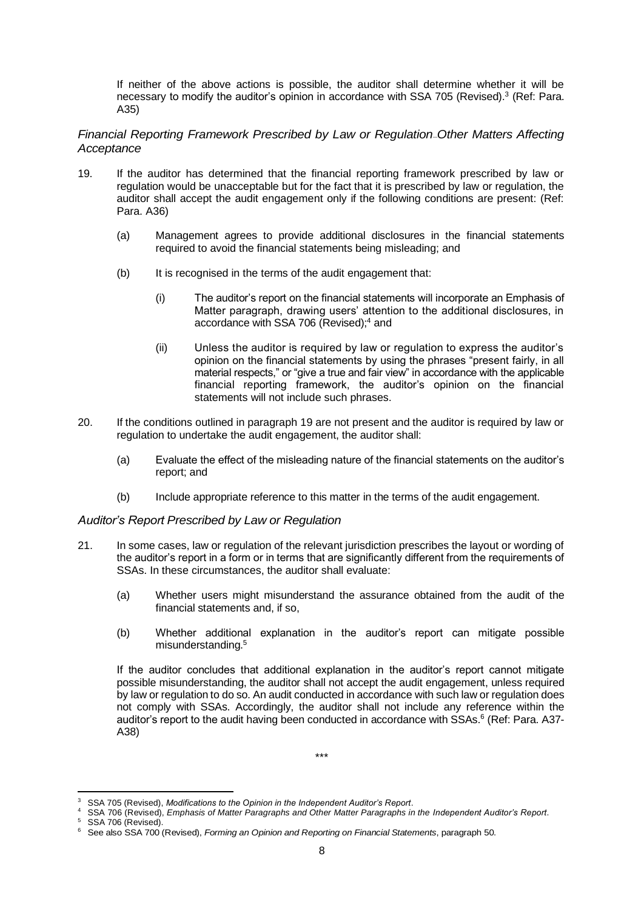If neither of the above actions is possible, the auditor shall determine whether it will be necessary to modify the auditor's opinion in accordance with SSA 705 (Revised).<sup>3</sup> (Ref: Para. A35)

### *Financial Reporting Framework Prescribed by Law or Regulation—Other Matters Affecting Acceptance*

- 19. If the auditor has determined that the financial reporting framework prescribed by law or regulation would be unacceptable but for the fact that it is prescribed by law or regulation, the auditor shall accept the audit engagement only if the following conditions are present: (Ref: Para. A36)
	- (a) Management agrees to provide additional disclosures in the financial statements required to avoid the financial statements being misleading; and
	- (b) It is recognised in the terms of the audit engagement that:
		- (i) The auditor's report on the financial statements will incorporate an Emphasis of Matter paragraph, drawing users' attention to the additional disclosures, in accordance with SSA 706 (Revised); <sup>4</sup> and
		- (ii) Unless the auditor is required by law or regulation to express the auditor's opinion on the financial statements by using the phrases "present fairly, in all material respects," or "give a true and fair view" in accordance with the applicable financial reporting framework, the auditor's opinion on the financial statements will not include such phrases.
- 20. If the conditions outlined in paragraph 19 are not present and the auditor is required by law or regulation to undertake the audit engagement, the auditor shall:
	- (a) Evaluate the effect of the misleading nature of the financial statements on the auditor's report; and
	- (b) Include appropriate reference to this matter in the terms of the audit engagement.

### *Auditor's Report Prescribed by Law or Regulation*

- 21. In some cases, law or regulation of the relevant jurisdiction prescribes the layout or wording of the auditor's report in a form or in terms that are significantly different from the requirements of SSAs. In these circumstances, the auditor shall evaluate:
	- (a) Whether users might misunderstand the assurance obtained from the audit of the financial statements and, if so,
	- (b) Whether additional explanation in the auditor's report can mitigate possible misunderstanding.<sup>5</sup>

If the auditor concludes that additional explanation in the auditor's report cannot mitigate possible misunderstanding, the auditor shall not accept the audit engagement, unless required by law or regulation to do so. An audit conducted in accordance with such law or regulation does not comply with SSAs. Accordingly, the auditor shall not include any reference within the auditor's report to the audit having been conducted in accordance with SSAs.<sup>6</sup> (Ref: Para. A37-A38)

<sup>\*\*\*</sup>

<sup>3</sup> SSA 705 (Revised), *Modifications to the Opinion in the Independent Auditor's Report*.

<sup>4</sup> SSA 706 (Revised), *Emphasis of Matter Paragraphs and Other Matter Paragraphs in the Independent Auditor's Report*. <sup>5</sup> SSA 706 (Revised).

<sup>6</sup> See also SSA 700 (Revised), *Forming an Opinion and Reporting on Financial Statements*, paragraph 50.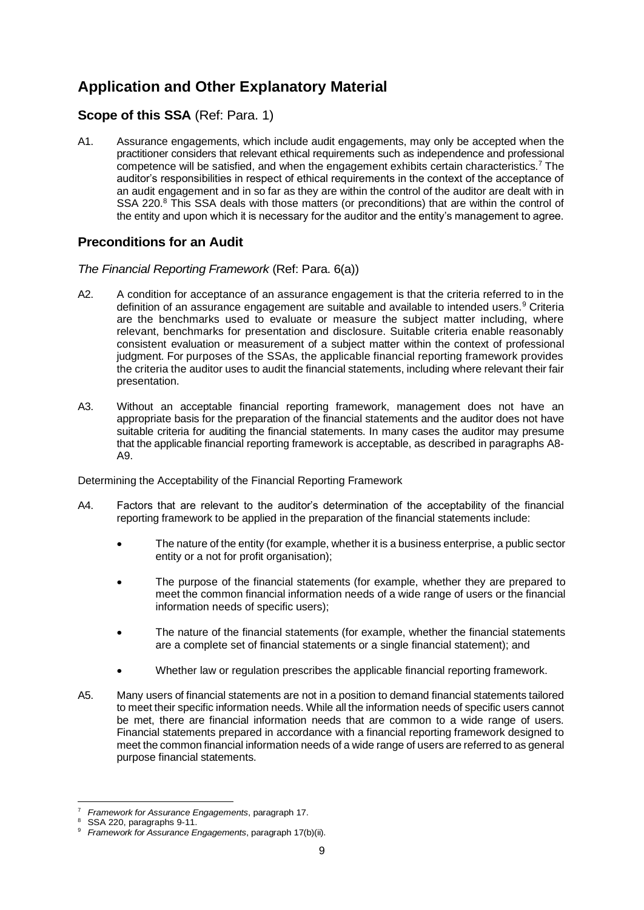# **Application and Other Explanatory Material**

# **Scope of this SSA** (Ref: Para. 1)

A1. Assurance engagements, which include audit engagements, may only be accepted when the practitioner considers that relevant ethical requirements such as independence and professional competence will be satisfied, and when the engagement exhibits certain characteristics.<sup>7</sup> The auditor's responsibilities in respect of ethical requirements in the context of the acceptance of an audit engagement and in so far as they are within the control of the auditor are dealt with in SSA 220.<sup>8</sup> This SSA deals with those matters (or preconditions) that are within the control of the entity and upon which it is necessary for the auditor and the entity's management to agree.

# **Preconditions for an Audit**

*The Financial Reporting Framework* (Ref: Para. 6(a))

- A2. A condition for acceptance of an assurance engagement is that the criteria referred to in the definition of an assurance engagement are suitable and available to intended users.<sup>9</sup> Criteria are the benchmarks used to evaluate or measure the subject matter including, where relevant, benchmarks for presentation and disclosure. Suitable criteria enable reasonably consistent evaluation or measurement of a subject matter within the context of professional judgment. For purposes of the SSAs, the applicable financial reporting framework provides the criteria the auditor uses to audit the financial statements, including where relevant their fair presentation.
- A3. Without an acceptable financial reporting framework, management does not have an appropriate basis for the preparation of the financial statements and the auditor does not have suitable criteria for auditing the financial statements. In many cases the auditor may presume that the applicable financial reporting framework is acceptable, as described in paragraphs A8- A9.

Determining the Acceptability of the Financial Reporting Framework

- A4. Factors that are relevant to the auditor's determination of the acceptability of the financial reporting framework to be applied in the preparation of the financial statements include:
	- The nature of the entity (for example, whether it is a business enterprise, a public sector entity or a not for profit organisation);
	- The purpose of the financial statements (for example, whether they are prepared to meet the common financial information needs of a wide range of users or the financial information needs of specific users);
	- The nature of the financial statements (for example, whether the financial statements are a complete set of financial statements or a single financial statement); and
	- Whether law or regulation prescribes the applicable financial reporting framework.
- A5. Many users of financial statements are not in a position to demand financial statements tailored to meet their specific information needs. While all the information needs of specific users cannot be met, there are financial information needs that are common to a wide range of users. Financial statements prepared in accordance with a financial reporting framework designed to meet the common financial information needs of a wide range of users are referred to as general purpose financial statements.

<sup>7</sup> *Framework for Assurance Engagements*, paragraph 17.

<sup>8</sup> SSA 220, paragraphs 9-11.

<sup>9</sup> *Framework for Assurance Engagements*, paragraph 17(b)(ii).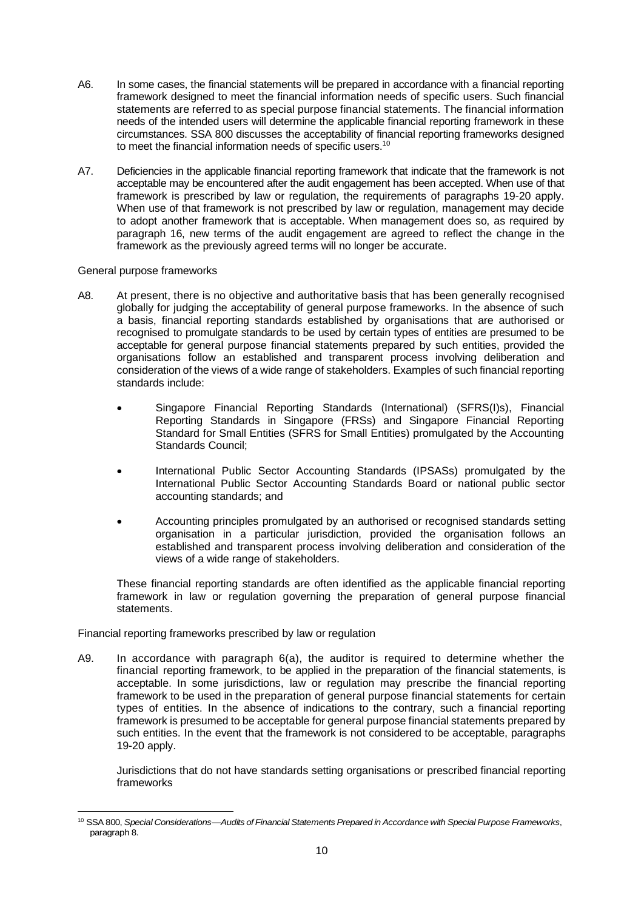- A6. In some cases, the financial statements will be prepared in accordance with a financial reporting framework designed to meet the financial information needs of specific users. Such financial statements are referred to as special purpose financial statements. The financial information needs of the intended users will determine the applicable financial reporting framework in these circumstances. SSA 800 discusses the acceptability of financial reporting frameworks designed to meet the financial information needs of specific users.<sup>10</sup>
- A7. Deficiencies in the applicable financial reporting framework that indicate that the framework is not acceptable may be encountered after the audit engagement has been accepted. When use of that framework is prescribed by law or regulation, the requirements of paragraphs 19-20 apply. When use of that framework is not prescribed by law or regulation, management may decide to adopt another framework that is acceptable. When management does so, as required by paragraph 16, new terms of the audit engagement are agreed to reflect the change in the framework as the previously agreed terms will no longer be accurate.

#### General purpose frameworks

- A8. At present, there is no objective and authoritative basis that has been generally recognised globally for judging the acceptability of general purpose frameworks. In the absence of such a basis, financial reporting standards established by organisations that are authorised or recognised to promulgate standards to be used by certain types of entities are presumed to be acceptable for general purpose financial statements prepared by such entities, provided the organisations follow an established and transparent process involving deliberation and consideration of the views of a wide range of stakeholders. Examples of such financial reporting standards include:
	- Singapore Financial Reporting Standards (International) (SFRS(I)s), Financial Reporting Standards in Singapore (FRSs) and Singapore Financial Reporting Standard for Small Entities (SFRS for Small Entities) promulgated by the Accounting Standards Council;
	- International Public Sector Accounting Standards (IPSASs) promulgated by the International Public Sector Accounting Standards Board or national public sector accounting standards; and
	- Accounting principles promulgated by an authorised or recognised standards setting organisation in a particular jurisdiction, provided the organisation follows an established and transparent process involving deliberation and consideration of the views of a wide range of stakeholders.

These financial reporting standards are often identified as the applicable financial reporting framework in law or regulation governing the preparation of general purpose financial statements.

Financial reporting frameworks prescribed by law or regulation

A9. In accordance with paragraph 6(a), the auditor is required to determine whether the financial reporting framework, to be applied in the preparation of the financial statements, is acceptable. In some jurisdictions, law or regulation may prescribe the financial reporting framework to be used in the preparation of general purpose financial statements for certain types of entities. In the absence of indications to the contrary, such a financial reporting framework is presumed to be acceptable for general purpose financial statements prepared by such entities. In the event that the framework is not considered to be acceptable, paragraphs 19-20 apply.

Jurisdictions that do not have standards setting organisations or prescribed financial reporting frameworks

<sup>10</sup> SSA 800, *Special Considerations—Audits of Financial Statements Prepared in Accordance with Special Purpose Frameworks*, paragraph 8.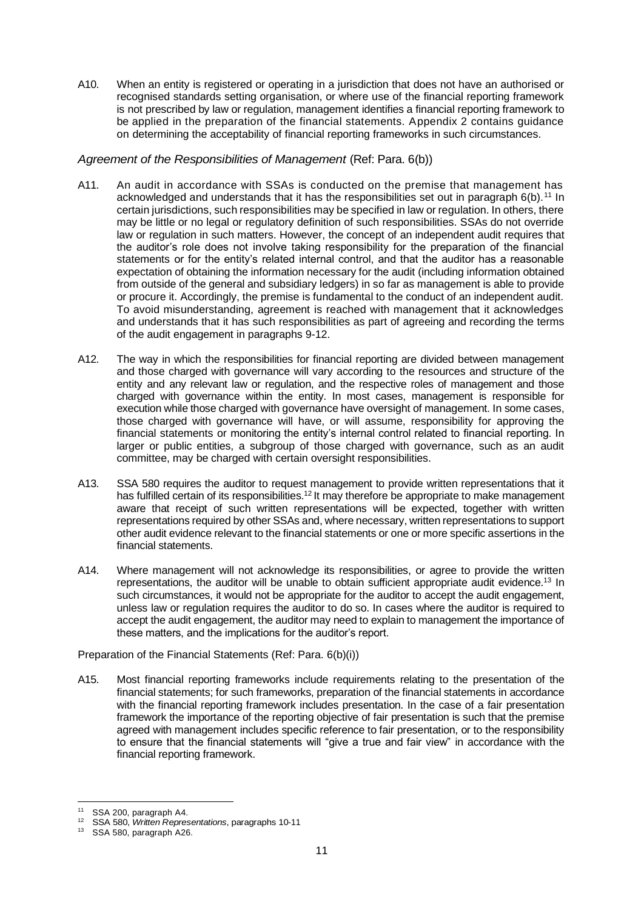A10. When an entity is registered or operating in a jurisdiction that does not have an authorised or recognised standards setting organisation, or where use of the financial reporting framework is not prescribed by law or regulation, management identifies a financial reporting framework to be applied in the preparation of the financial statements. Appendix 2 contains guidance on determining the acceptability of financial reporting frameworks in such circumstances.

### Agreement of the Responsibilities of Management (Ref: Para. 6(b))

- A11. An audit in accordance with SSAs is conducted on the premise that management has acknowledged and understands that it has the responsibilities set out in paragraph  $6(b)$ .<sup>11</sup> In certain jurisdictions, such responsibilities may be specified in law or regulation. In others, there may be little or no legal or regulatory definition of such responsibilities. SSAs do not override law or regulation in such matters. However, the concept of an independent audit requires that the auditor's role does not involve taking responsibility for the preparation of the financial statements or for the entity's related internal control, and that the auditor has a reasonable expectation of obtaining the information necessary for the audit (including information obtained from outside of the general and subsidiary ledgers) in so far as management is able to provide or procure it. Accordingly, the premise is fundamental to the conduct of an independent audit. To avoid misunderstanding, agreement is reached with management that it acknowledges and understands that it has such responsibilities as part of agreeing and recording the terms of the audit engagement in paragraphs 9-12.
- A12. The way in which the responsibilities for financial reporting are divided between management and those charged with governance will vary according to the resources and structure of the entity and any relevant law or regulation, and the respective roles of management and those charged with governance within the entity. In most cases, management is responsible for execution while those charged with governance have oversight of management. In some cases, those charged with governance will have, or will assume, responsibility for approving the financial statements or monitoring the entity's internal control related to financial reporting. In larger or public entities, a subgroup of those charged with governance, such as an audit committee, may be charged with certain oversight responsibilities.
- A13. SSA 580 requires the auditor to request management to provide written representations that it has fulfilled certain of its responsibilities.<sup>12</sup> It may therefore be appropriate to make management aware that receipt of such written representations will be expected, together with written representations required by other SSAs and, where necessary, written representations to support other audit evidence relevant to the financial statements or one or more specific assertions in the financial statements.
- A14. Where management will not acknowledge its responsibilities, or agree to provide the written representations, the auditor will be unable to obtain sufficient appropriate audit evidence.<sup>13</sup> In such circumstances, it would not be appropriate for the auditor to accept the audit engagement, unless law or regulation requires the auditor to do so. In cases where the auditor is required to accept the audit engagement, the auditor may need to explain to management the importance of these matters, and the implications for the auditor's report.

Preparation of the Financial Statements (Ref: Para. 6(b)(i))

A15. Most financial reporting frameworks include requirements relating to the presentation of the financial statements; for such frameworks, preparation of the financial statements in accordance with the financial reporting framework includes presentation. In the case of a fair presentation framework the importance of the reporting objective of fair presentation is such that the premise agreed with management includes specific reference to fair presentation, or to the responsibility to ensure that the financial statements will "give a true and fair view" in accordance with the financial reporting framework.

<sup>11</sup> SSA 200, paragraph A4.

<sup>12</sup> SSA 580, *Written Representations*, paragraphs 10-11

SSA 580, paragraph A26.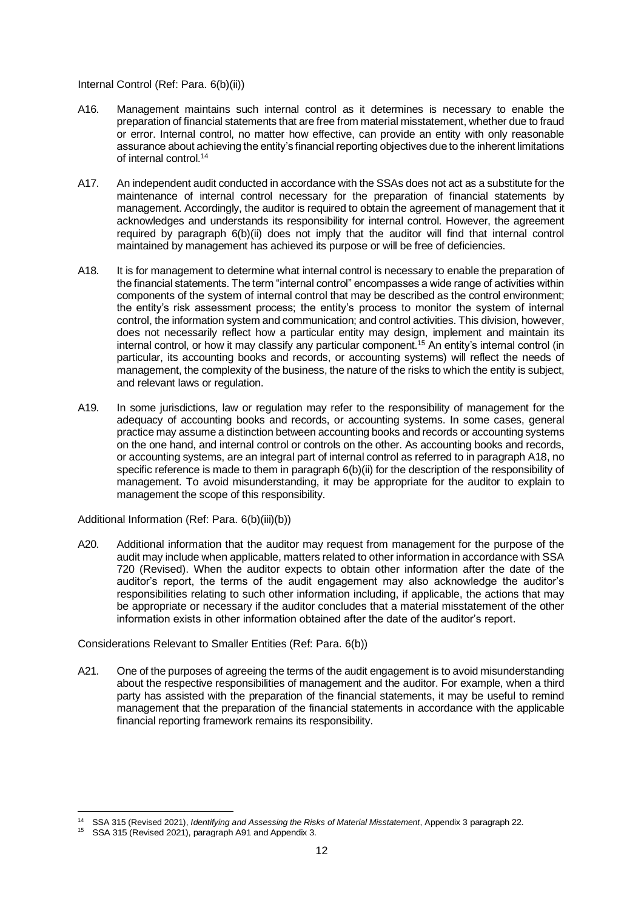Internal Control (Ref: Para. 6(b)(ii))

- A16. Management maintains such internal control as it determines is necessary to enable the preparation of financial statements that are free from material misstatement, whether due to fraud or error. Internal control, no matter how effective, can provide an entity with only reasonable assurance about achieving the entity's financial reporting objectives due to the inherent limitations of internal control.<sup>14</sup>
- A17. An independent audit conducted in accordance with the SSAs does not act as a substitute for the maintenance of internal control necessary for the preparation of financial statements by management. Accordingly, the auditor is required to obtain the agreement of management that it acknowledges and understands its responsibility for internal control. However, the agreement required by paragraph 6(b)(ii) does not imply that the auditor will find that internal control maintained by management has achieved its purpose or will be free of deficiencies.
- A18. It is for management to determine what internal control is necessary to enable the preparation of the financial statements. The term "internal control" encompasses a wide range of activities within components of the system of internal control that may be described as the control environment; the entity's risk assessment process; the entity's process to monitor the system of internal control, the information system and communication; and control activities. This division, however, does not necessarily reflect how a particular entity may design, implement and maintain its internal control, or how it may classify any particular component.<sup>15</sup> An entity's internal control (in particular, its accounting books and records, or accounting systems) will reflect the needs of management, the complexity of the business, the nature of the risks to which the entity is subject, and relevant laws or regulation.
- A19. In some jurisdictions, law or regulation may refer to the responsibility of management for the adequacy of accounting books and records, or accounting systems. In some cases, general practice may assume a distinction between accounting books and records or accounting systems on the one hand, and internal control or controls on the other. As accounting books and records, or accounting systems, are an integral part of internal control as referred to in paragraph A18, no specific reference is made to them in paragraph 6(b)(ii) for the description of the responsibility of management. To avoid misunderstanding, it may be appropriate for the auditor to explain to management the scope of this responsibility.

Additional Information (Ref: Para. 6(b)(iii)(b))

A20. Additional information that the auditor may request from management for the purpose of the audit may include when applicable, matters related to other information in accordance with SSA 720 (Revised). When the auditor expects to obtain other information after the date of the auditor's report, the terms of the audit engagement may also acknowledge the auditor's responsibilities relating to such other information including, if applicable, the actions that may be appropriate or necessary if the auditor concludes that a material misstatement of the other information exists in other information obtained after the date of the auditor's report.

Considerations Relevant to Smaller Entities (Ref: Para. 6(b))

A21. One of the purposes of agreeing the terms of the audit engagement is to avoid misunderstanding about the respective responsibilities of management and the auditor. For example, when a third party has assisted with the preparation of the financial statements, it may be useful to remind management that the preparation of the financial statements in accordance with the applicable financial reporting framework remains its responsibility.

<sup>14</sup> SSA 315 (Revised 2021), *Identifying and Assessing the Risks of Material Misstatement*, Appendix 3 paragraph 22.

SSA 315 (Revised 2021), paragraph A91 and Appendix 3.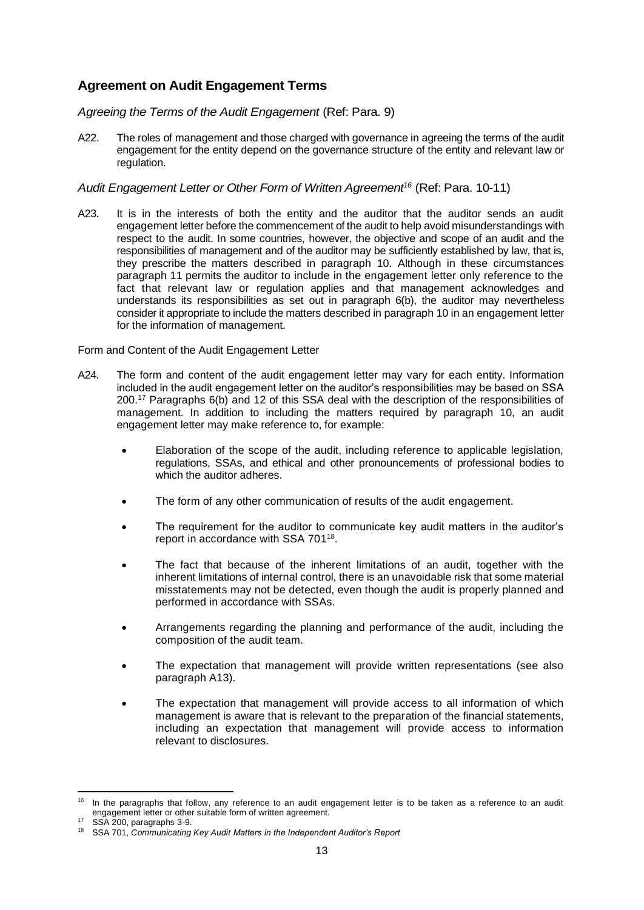# **Agreement on Audit Engagement Terms**

## *Agreeing the Terms of the Audit Engagement* (Ref: Para. 9)

A22. The roles of management and those charged with governance in agreeing the terms of the audit engagement for the entity depend on the governance structure of the entity and relevant law or regulation.

### *Audit Engagement Letter or Other Form of Written Agreement<sup>16</sup>* (Ref: Para. 10-11)

A23. It is in the interests of both the entity and the auditor that the auditor sends an audit engagement letter before the commencement of the audit to help avoid misunderstandings with respect to the audit. In some countries, however, the objective and scope of an audit and the responsibilities of management and of the auditor may be sufficiently established by law, that is, they prescribe the matters described in paragraph 10. Although in these circumstances paragraph 11 permits the auditor to include in the engagement letter only reference to the fact that relevant law or regulation applies and that management acknowledges and understands its responsibilities as set out in paragraph 6(b), the auditor may nevertheless consider it appropriate to include the matters described in paragraph 10 in an engagement letter for the information of management.

Form and Content of the Audit Engagement Letter

- A24. The form and content of the audit engagement letter may vary for each entity. Information included in the audit engagement letter on the auditor's responsibilities may be based on SSA 200.<sup>17</sup> Paragraphs 6(b) and 12 of this SSA deal with the description of the responsibilities of management. In addition to including the matters required by paragraph 10, an audit engagement letter may make reference to, for example:
	- Elaboration of the scope of the audit, including reference to applicable legislation, regulations, SSAs, and ethical and other pronouncements of professional bodies to which the auditor adheres.
	- The form of any other communication of results of the audit engagement.
	- The requirement for the auditor to communicate key audit matters in the auditor's report in accordance with SSA 701<sup>18</sup>.
	- The fact that because of the inherent limitations of an audit, together with the inherent limitations of internal control, there is an unavoidable risk that some material misstatements may not be detected, even though the audit is properly planned and performed in accordance with SSAs.
	- Arrangements regarding the planning and performance of the audit, including the composition of the audit team.
	- The expectation that management will provide written representations (see also paragraph A13).
	- The expectation that management will provide access to all information of which management is aware that is relevant to the preparation of the financial statements, including an expectation that management will provide access to information relevant to disclosures.

<sup>&</sup>lt;sup>16</sup> In the paragraphs that follow, any reference to an audit engagement letter is to be taken as a reference to an audit engagement letter or other suitable form of written agreement.

<sup>17</sup> SSA 200, paragraphs 3-9.

<sup>18</sup> SSA 701, *Communicating Key Audit Matters in the Independent Auditor's Report*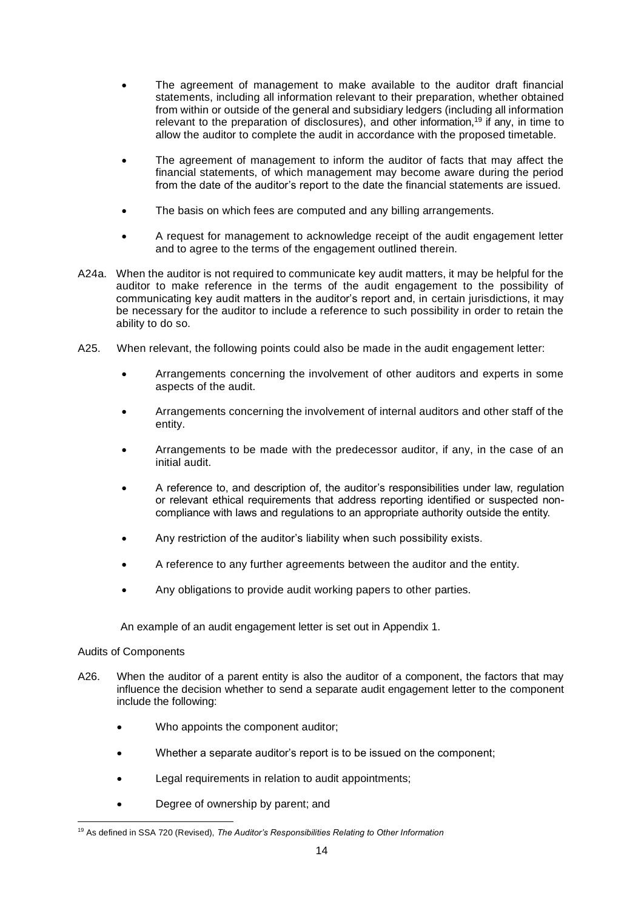- The agreement of management to make available to the auditor draft financial statements, including all information relevant to their preparation, whether obtained from within or outside of the general and subsidiary ledgers (including all information relevant to the preparation of disclosures), and other information,<sup>19</sup> if any, in time to allow the auditor to complete the audit in accordance with the proposed timetable.
- The agreement of management to inform the auditor of facts that may affect the financial statements, of which management may become aware during the period from the date of the auditor's report to the date the financial statements are issued.
- The basis on which fees are computed and any billing arrangements.
- A request for management to acknowledge receipt of the audit engagement letter and to agree to the terms of the engagement outlined therein.
- A24a. When the auditor is not required to communicate key audit matters, it may be helpful for the auditor to make reference in the terms of the audit engagement to the possibility of communicating key audit matters in the auditor's report and, in certain jurisdictions, it may be necessary for the auditor to include a reference to such possibility in order to retain the ability to do so.
- A25. When relevant, the following points could also be made in the audit engagement letter:
	- Arrangements concerning the involvement of other auditors and experts in some aspects of the audit.
	- Arrangements concerning the involvement of internal auditors and other staff of the entity.
	- Arrangements to be made with the predecessor auditor, if any, in the case of an initial audit.
	- A reference to, and description of, the auditor's responsibilities under law, regulation or relevant ethical requirements that address reporting identified or suspected noncompliance with laws and regulations to an appropriate authority outside the entity.
	- Any restriction of the auditor's liability when such possibility exists.
	- A reference to any further agreements between the auditor and the entity.
	- Any obligations to provide audit working papers to other parties.

An example of an audit engagement letter is set out in Appendix 1.

### Audits of Components

- A26. When the auditor of a parent entity is also the auditor of a component, the factors that may influence the decision whether to send a separate audit engagement letter to the component include the following:
	- Who appoints the component auditor;
	- Whether a separate auditor's report is to be issued on the component;
	- Legal requirements in relation to audit appointments;
	- Degree of ownership by parent; and

<sup>19</sup> As defined in SSA 720 (Revised), *The Auditor's Responsibilities Relating to Other Information*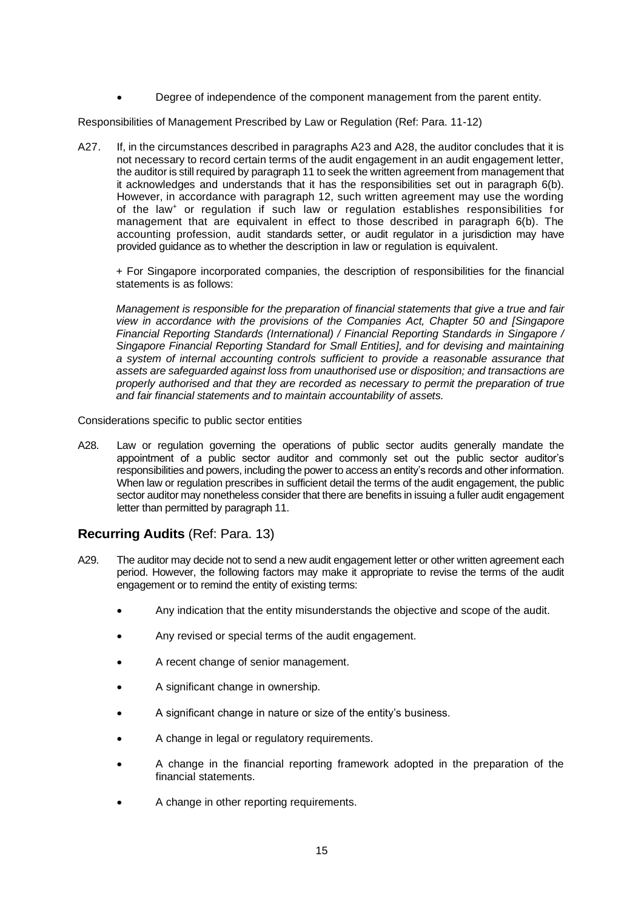• Degree of independence of the component management from the parent entity.

Responsibilities of Management Prescribed by Law or Regulation (Ref: Para. 11-12)

A27. If, in the circumstances described in paragraphs A23 and A28, the auditor concludes that it is not necessary to record certain terms of the audit engagement in an audit engagement letter, the auditor is still required by paragraph 11 to seek the written agreement from management that it acknowledges and understands that it has the responsibilities set out in paragraph 6(b). However, in accordance with paragraph 12, such written agreement may use the wording of the law<sup>+</sup> or regulation if such law or regulation establishes responsibilities for management that are equivalent in effect to those described in paragraph 6(b). The accounting profession, audit standards setter, or audit regulator in a jurisdiction may have provided guidance as to whether the description in law or regulation is equivalent.

+ For Singapore incorporated companies, the description of responsibilities for the financial statements is as follows:

*Management is responsible for the preparation of financial statements that give a true and fair view in accordance with the provisions of the Companies Act, Chapter 50 and [Singapore Financial Reporting Standards (International) / Financial Reporting Standards in Singapore / Singapore Financial Reporting Standard for Small Entities], and for devising and maintaining a system of internal accounting controls sufficient to provide a reasonable assurance that assets are safeguarded against loss from unauthorised use or disposition; and transactions are properly authorised and that they are recorded as necessary to permit the preparation of true and fair financial statements and to maintain accountability of assets.*

Considerations specific to public sector entities

A28. Law or regulation governing the operations of public sector audits generally mandate the appointment of a public sector auditor and commonly set out the public sector auditor's responsibilities and powers, including the power to access an entity's records and other information. When law or regulation prescribes in sufficient detail the terms of the audit engagement, the public sector auditor may nonetheless consider that there are benefits in issuing a fuller audit engagement letter than permitted by paragraph 11.

## **Recurring Audits** (Ref: Para. 13)

- A29. The auditor may decide not to send a new audit engagement letter or other written agreement each period. However, the following factors may make it appropriate to revise the terms of the audit engagement or to remind the entity of existing terms:
	- Any indication that the entity misunderstands the objective and scope of the audit.
	- Any revised or special terms of the audit engagement.
	- A recent change of senior management.
	- A significant change in ownership.
	- A significant change in nature or size of the entity's business.
	- A change in legal or regulatory requirements.
	- A change in the financial reporting framework adopted in the preparation of the financial statements.
	- A change in other reporting requirements.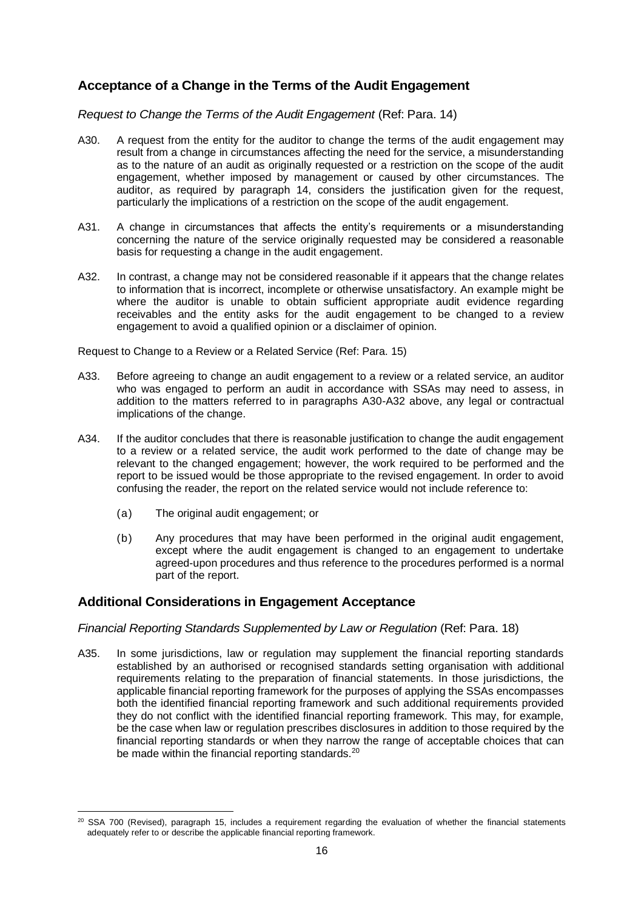# **Acceptance of a Change in the Terms of the Audit Engagement**

*Request to Change the Terms of the Audit Engagement (Ref: Para. 14)* 

- A30. A request from the entity for the auditor to change the terms of the audit engagement may result from a change in circumstances affecting the need for the service, a misunderstanding as to the nature of an audit as originally requested or a restriction on the scope of the audit engagement, whether imposed by management or caused by other circumstances. The auditor, as required by paragraph 14, considers the justification given for the request, particularly the implications of a restriction on the scope of the audit engagement.
- A31. A change in circumstances that affects the entity's requirements or a misunderstanding concerning the nature of the service originally requested may be considered a reasonable basis for requesting a change in the audit engagement.
- A32. In contrast, a change may not be considered reasonable if it appears that the change relates to information that is incorrect, incomplete or otherwise unsatisfactory. An example might be where the auditor is unable to obtain sufficient appropriate audit evidence regarding receivables and the entity asks for the audit engagement to be changed to a review engagement to avoid a qualified opinion or a disclaimer of opinion.

Request to Change to a Review or a Related Service (Ref: Para. 15)

- A33. Before agreeing to change an audit engagement to a review or a related service, an auditor who was engaged to perform an audit in accordance with SSAs may need to assess, in addition to the matters referred to in paragraphs A30-A32 above, any legal or contractual implications of the change.
- A34. If the auditor concludes that there is reasonable justification to change the audit engagement to a review or a related service, the audit work performed to the date of change may be relevant to the changed engagement; however, the work required to be performed and the report to be issued would be those appropriate to the revised engagement. In order to avoid confusing the reader, the report on the related service would not include reference to:
	- (a) The original audit engagement; or
	- (b) Any procedures that may have been performed in the original audit engagement, except where the audit engagement is changed to an engagement to undertake agreed-upon procedures and thus reference to the procedures performed is a normal part of the report.

## **Additional Considerations in Engagement Acceptance**

### *Financial Reporting Standards Supplemented by Law or Regulation* (Ref: Para. 18)

A35. In some jurisdictions, law or regulation may supplement the financial reporting standards established by an authorised or recognised standards setting organisation with additional requirements relating to the preparation of financial statements. In those jurisdictions, the applicable financial reporting framework for the purposes of applying the SSAs encompasses both the identified financial reporting framework and such additional requirements provided they do not conflict with the identified financial reporting framework. This may, for example, be the case when law or regulation prescribes disclosures in addition to those required by the financial reporting standards or when they narrow the range of acceptable choices that can be made within the financial reporting standards.<sup>20</sup>

<sup>&</sup>lt;sup>20</sup> SSA 700 (Revised), paragraph 15, includes a requirement regarding the evaluation of whether the financial statements adequately refer to or describe the applicable financial reporting framework.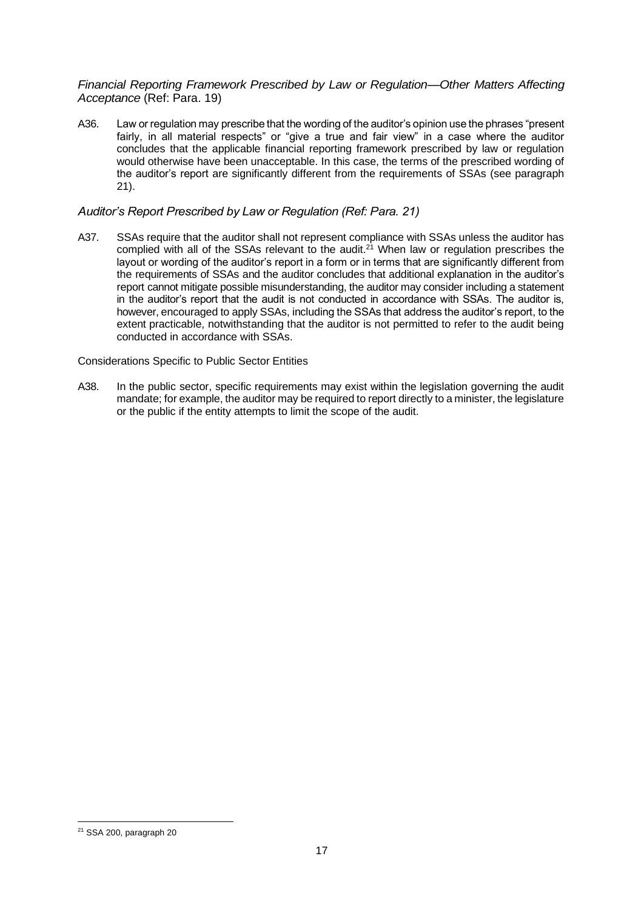### *Financial Reporting Framework Prescribed by Law or Regulation—Other Matters Affecting Acceptance* (Ref: Para. 19)

A36. Law or regulation may prescribe that the wording of the auditor's opinion use the phrases "present fairly, in all material respects" or "give a true and fair view" in a case where the auditor concludes that the applicable financial reporting framework prescribed by law or regulation would otherwise have been unacceptable. In this case, the terms of the prescribed wording of the auditor's report are significantly different from the requirements of SSAs (see paragraph 21).

## *Auditor's Report Prescribed by Law or Regulation (Ref: Para. 21)*

A37. SSAs require that the auditor shall not represent compliance with SSAs unless the auditor has complied with all of the SSAs relevant to the audit.<sup>21</sup> When law or regulation prescribes the layout or wording of the auditor's report in a form or in terms that are significantly different from the requirements of SSAs and the auditor concludes that additional explanation in the auditor's report cannot mitigate possible misunderstanding, the auditor may consider including a statement in the auditor's report that the audit is not conducted in accordance with SSAs. The auditor is, however, encouraged to apply SSAs, including the SSAs that address the auditor's report, to the extent practicable, notwithstanding that the auditor is not permitted to refer to the audit being conducted in accordance with SSAs.

Considerations Specific to Public Sector Entities

A38. In the public sector, specific requirements may exist within the legislation governing the audit mandate; for example, the auditor may be required to report directly to a minister, the legislature or the public if the entity attempts to limit the scope of the audit.

<sup>21</sup> SSA 200, paragraph 20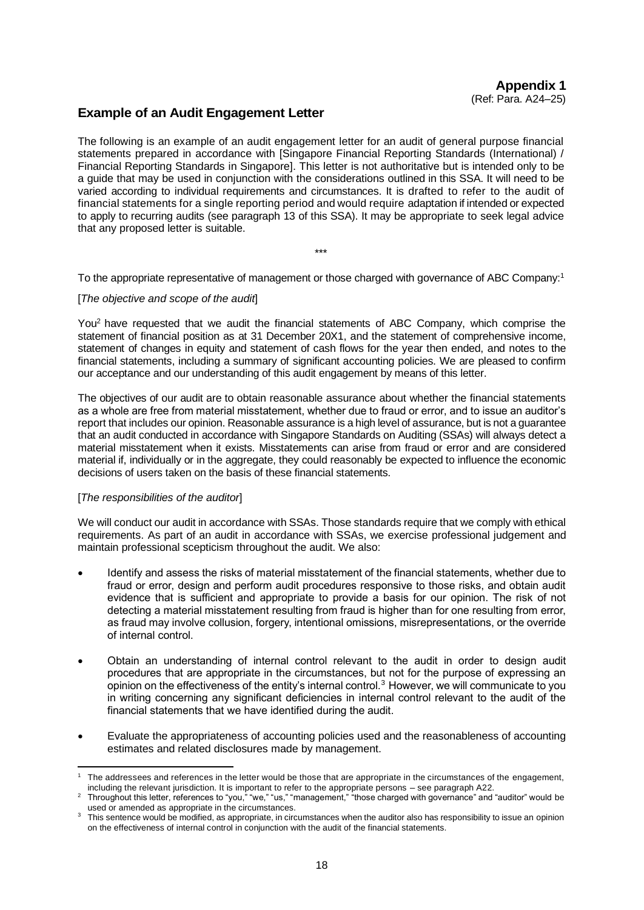## **Example of an Audit Engagement Letter**

The following is an example of an audit engagement letter for an audit of general purpose financial statements prepared in accordance with [Singapore Financial Reporting Standards (International) / Financial Reporting Standards in Singapore]. This letter is not authoritative but is intended only to be a guide that may be used in conjunction with the considerations outlined in this SSA. It will need to be varied according to individual requirements and circumstances. It is drafted to refer to the audit of financial statements for a single reporting period and would require adaptation if intended or expected to apply to recurring audits (see paragraph 13 of this SSA). It may be appropriate to seek legal advice that any proposed letter is suitable.

To the appropriate representative of management or those charged with governance of ABC Company:<sup>1</sup>

\*\*\*

#### [*The objective and scope of the audit*]

You<sup>2</sup> have requested that we audit the financial statements of ABC Company, which comprise the statement of financial position as at 31 December 20X1, and the statement of comprehensive income, statement of changes in equity and statement of cash flows for the year then ended, and notes to the financial statements, including a summary of significant accounting policies. We are pleased to confirm our acceptance and our understanding of this audit engagement by means of this letter.

The objectives of our audit are to obtain reasonable assurance about whether the financial statements as a whole are free from material misstatement, whether due to fraud or error, and to issue an auditor's report that includes our opinion. Reasonable assurance is a high level of assurance, but is not a guarantee that an audit conducted in accordance with Singapore Standards on Auditing (SSAs) will always detect a material misstatement when it exists. Misstatements can arise from fraud or error and are considered material if, individually or in the aggregate, they could reasonably be expected to influence the economic decisions of users taken on the basis of these financial statements.

#### [*The responsibilities of the auditor*]

We will conduct our audit in accordance with SSAs. Those standards require that we comply with ethical requirements. As part of an audit in accordance with SSAs, we exercise professional judgement and maintain professional scepticism throughout the audit. We also:

- Identify and assess the risks of material misstatement of the financial statements, whether due to fraud or error, design and perform audit procedures responsive to those risks, and obtain audit evidence that is sufficient and appropriate to provide a basis for our opinion. The risk of not detecting a material misstatement resulting from fraud is higher than for one resulting from error, as fraud may involve collusion, forgery, intentional omissions, misrepresentations, or the override of internal control.
- Obtain an understanding of internal control relevant to the audit in order to design audit procedures that are appropriate in the circumstances, but not for the purpose of expressing an opinion on the effectiveness of the entity's internal control.<sup>3</sup> However, we will communicate to you in writing concerning any significant deficiencies in internal control relevant to the audit of the financial statements that we have identified during the audit.
- Evaluate the appropriateness of accounting policies used and the reasonableness of accounting estimates and related disclosures made by management.

<sup>1</sup> The addressees and references in the letter would be those that are appropriate in the circumstances of the engagement, including the relevant jurisdiction. It is important to refer to the appropriate persons – see paragraph A22.

<sup>&</sup>lt;sup>2</sup> Throughout this letter, references to "you," "we," "us," "management," "those charged with governance" and "auditor" would be used or amended as appropriate in the circumstances.

<sup>&</sup>lt;sup>3</sup> This sentence would be modified, as appropriate, in circumstances when the auditor also has responsibility to issue an opinion on the effectiveness of internal control in conjunction with the audit of the financial statements.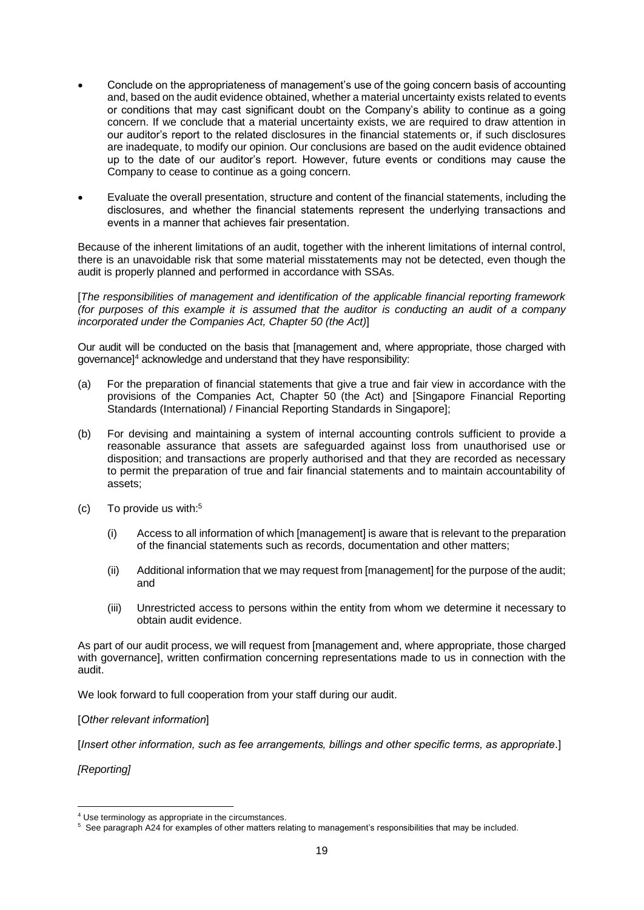- Conclude on the appropriateness of management's use of the going concern basis of accounting and, based on the audit evidence obtained, whether a material uncertainty exists related to events or conditions that may cast significant doubt on the Company's ability to continue as a going concern. If we conclude that a material uncertainty exists, we are required to draw attention in our auditor's report to the related disclosures in the financial statements or, if such disclosures are inadequate, to modify our opinion. Our conclusions are based on the audit evidence obtained up to the date of our auditor's report. However, future events or conditions may cause the Company to cease to continue as a going concern.
- Evaluate the overall presentation, structure and content of the financial statements, including the disclosures, and whether the financial statements represent the underlying transactions and events in a manner that achieves fair presentation.

Because of the inherent limitations of an audit, together with the inherent limitations of internal control, there is an unavoidable risk that some material misstatements may not be detected, even though the audit is properly planned and performed in accordance with SSAs.

[*The responsibilities of management and identification of the applicable financial reporting framework (for purposes of this example it is assumed that the auditor is conducting an audit of a company incorporated under the Companies Act, Chapter 50 (the Act)*]

Our audit will be conducted on the basis that [management and, where appropriate, those charged with governance]<sup>4</sup> acknowledge and understand that they have responsibility:

- (a) For the preparation of financial statements that give a true and fair view in accordance with the provisions of the Companies Act, Chapter 50 (the Act) and [Singapore Financial Reporting Standards (International) / Financial Reporting Standards in Singapore];
- (b) For devising and maintaining a system of internal accounting controls sufficient to provide a reasonable assurance that assets are safeguarded against loss from unauthorised use or disposition; and transactions are properly authorised and that they are recorded as necessary to permit the preparation of true and fair financial statements and to maintain accountability of assets;
- (c) To provide us with: 5
	- (i) Access to all information of which [management] is aware that is relevant to the preparation of the financial statements such as records, documentation and other matters;
	- (ii) Additional information that we may request from [management] for the purpose of the audit; and
	- (iii) Unrestricted access to persons within the entity from whom we determine it necessary to obtain audit evidence.

As part of our audit process, we will request from [management and, where appropriate, those charged with governance], written confirmation concerning representations made to us in connection with the audit.

We look forward to full cooperation from your staff during our audit.

[*Other relevant information*]

[*Insert other information, such as fee arrangements, billings and other specific terms, as appropriate*.]

*[Reporting]*

<sup>4</sup> Use terminology as appropriate in the circumstances.

<sup>5</sup> See paragraph A24 for examples of other matters relating to management's responsibilities that may be included.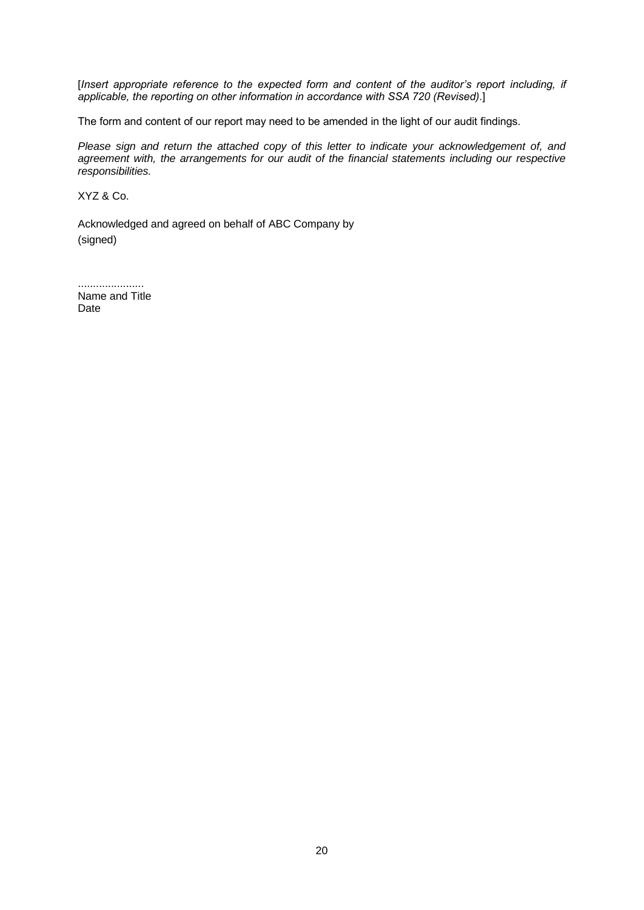[*Insert appropriate reference to the expected form and content of the auditor's report including, if applicable, the reporting on other information in accordance with SSA 720 (Revised).*]

The form and content of our report may need to be amended in the light of our audit findings.

*Please sign and return the attached copy of this letter to indicate your acknowledgement of, and agreement with, the arrangements for our audit of the financial statements including our respective responsibilities.*

XYZ & Co.

Acknowledged and agreed on behalf of ABC Company by (signed)

...................... Name and Title Date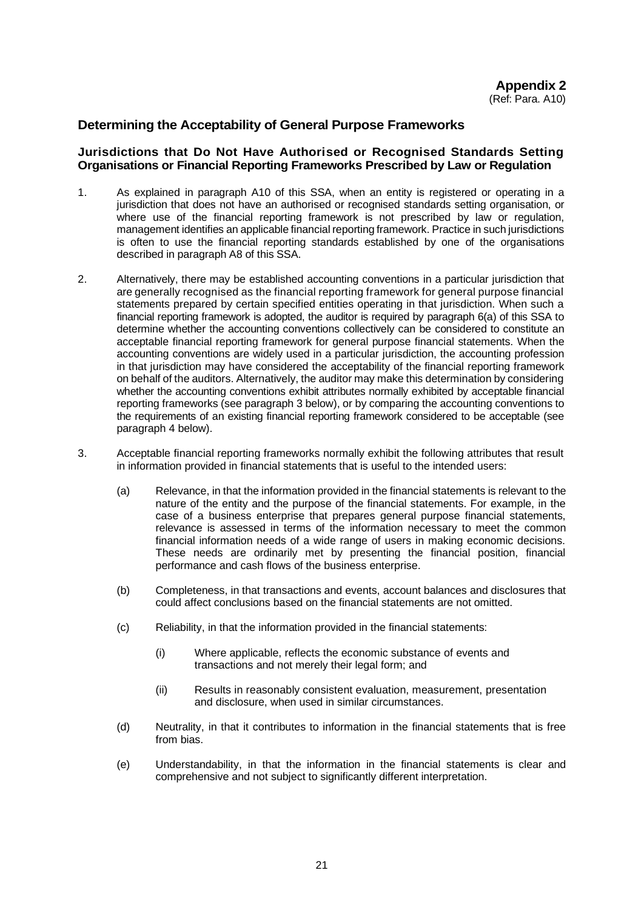## **Determining the Acceptability of General Purpose Frameworks**

### **Jurisdictions that Do Not Have Authorised or Recognised Standards Setting Organisations or Financial Reporting Frameworks Prescribed by Law or Regulation**

- 1. As explained in paragraph A10 of this SSA, when an entity is registered or operating in a jurisdiction that does not have an authorised or recognised standards setting organisation, or where use of the financial reporting framework is not prescribed by law or regulation, management identifies an applicable financial reporting framework. Practice in such jurisdictions is often to use the financial reporting standards established by one of the organisations described in paragraph A8 of this SSA.
- 2. Alternatively, there may be established accounting conventions in a particular jurisdiction that are generally recognised as the financial reporting framework for general purpose financial statements prepared by certain specified entities operating in that jurisdiction. When such a financial reporting framework is adopted, the auditor is required by paragraph 6(a) of this SSA to determine whether the accounting conventions collectively can be considered to constitute an acceptable financial reporting framework for general purpose financial statements. When the accounting conventions are widely used in a particular jurisdiction, the accounting profession in that jurisdiction may have considered the acceptability of the financial reporting framework on behalf of the auditors. Alternatively, the auditor may make this determination by considering whether the accounting conventions exhibit attributes normally exhibited by acceptable financial reporting frameworks (see paragraph 3 below), or by comparing the accounting conventions to the requirements of an existing financial reporting framework considered to be acceptable (see paragraph 4 below).
- 3. Acceptable financial reporting frameworks normally exhibit the following attributes that result in information provided in financial statements that is useful to the intended users:
	- (a) Relevance, in that the information provided in the financial statements is relevant to the nature of the entity and the purpose of the financial statements. For example, in the case of a business enterprise that prepares general purpose financial statements, relevance is assessed in terms of the information necessary to meet the common financial information needs of a wide range of users in making economic decisions. These needs are ordinarily met by presenting the financial position, financial performance and cash flows of the business enterprise.
	- (b) Completeness, in that transactions and events, account balances and disclosures that could affect conclusions based on the financial statements are not omitted.
	- (c) Reliability, in that the information provided in the financial statements:
		- (i) Where applicable, reflects the economic substance of events and transactions and not merely their legal form; and
		- (ii) Results in reasonably consistent evaluation, measurement, presentation and disclosure, when used in similar circumstances.
	- (d) Neutrality, in that it contributes to information in the financial statements that is free from bias.
	- (e) Understandability, in that the information in the financial statements is clear and comprehensive and not subject to significantly different interpretation.